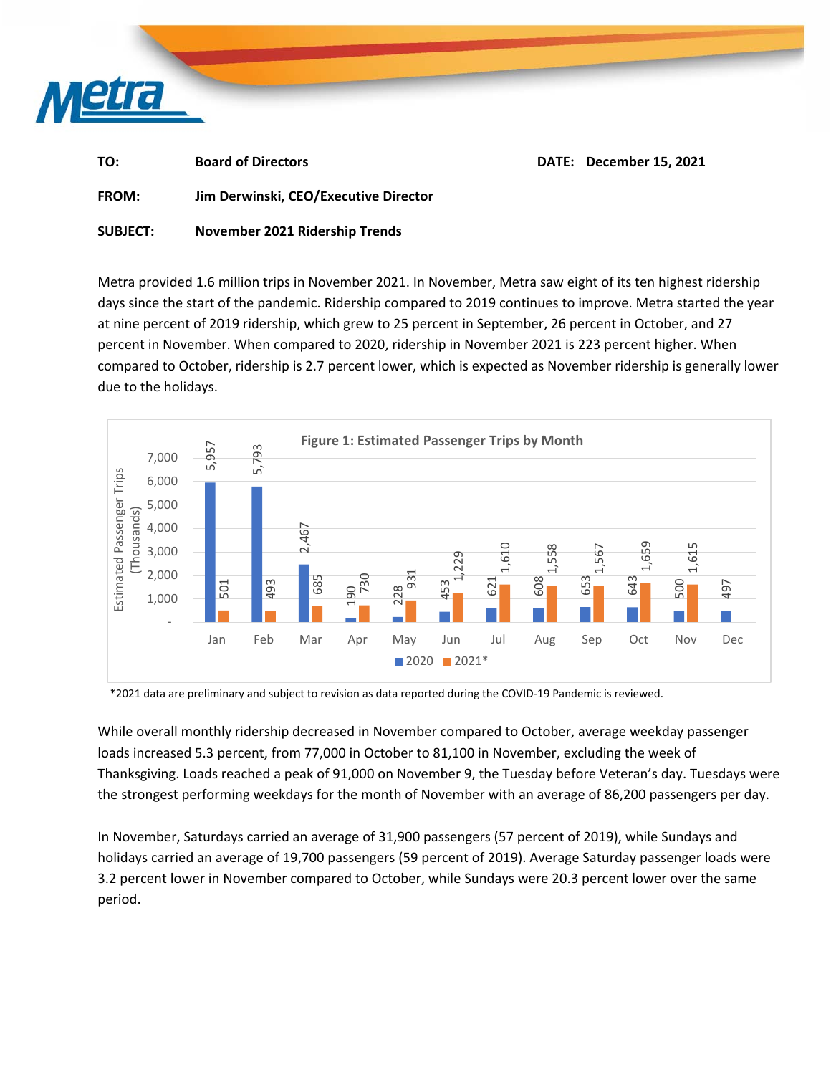

| TO:             | <b>Board of Directors</b>             | DATE: December 15, 2021 |
|-----------------|---------------------------------------|-------------------------|
| <b>FROM:</b>    | Jim Derwinski, CEO/Executive Director |                         |
| <b>SUBJECT:</b> | November 2021 Ridership Trends        |                         |

Metra provided 1.6 million trips in November 2021. In November, Metra saw eight of its ten highest ridership days since the start of the pandemic. Ridership compared to 2019 continues to improve. Metra started the year at nine percent of 2019 ridership, which grew to 25 percent in September, 26 percent in October, and 27 percent in November. When compared to 2020, ridership in November 2021 is 223 percent higher. When compared to October, ridership is 2.7 percent lower, which is expected as November ridership is generally lower due to the holidays.



\*2021 data are preliminary and subject to revision as data reported during the COVID‐19 Pandemic is reviewed.

While overall monthly ridership decreased in November compared to October, average weekday passenger loads increased 5.3 percent, from 77,000 in October to 81,100 in November, excluding the week of Thanksgiving. Loads reached a peak of 91,000 on November 9, the Tuesday before Veteran's day. Tuesdays were the strongest performing weekdays for the month of November with an average of 86,200 passengers per day.

In November, Saturdays carried an average of 31,900 passengers (57 percent of 2019), while Sundays and holidays carried an average of 19,700 passengers (59 percent of 2019). Average Saturday passenger loads were 3.2 percent lower in November compared to October, while Sundays were 20.3 percent lower over the same period.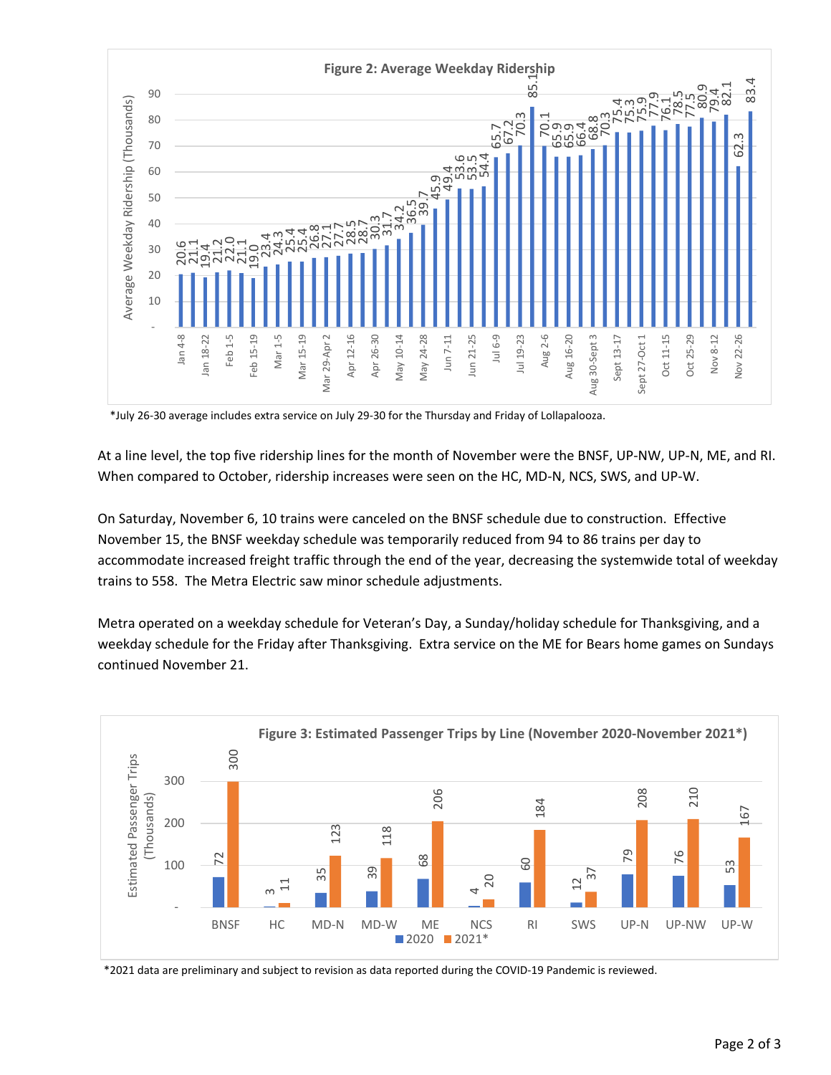

\*July 26‐30 average includes extra service on July 29‐30 for the Thursday and Friday of Lollapalooza.

At a line level, the top five ridership lines for the month of November were the BNSF, UP‐NW, UP‐N, ME, and RI. When compared to October, ridership increases were seen on the HC, MD-N, NCS, SWS, and UP-W.

On Saturday, November 6, 10 trains were canceled on the BNSF schedule due to construction. Effective November 15, the BNSF weekday schedule was temporarily reduced from 94 to 86 trains per day to accommodate increased freight traffic through the end of the year, decreasing the systemwide total of weekday trains to 558. The Metra Electric saw minor schedule adjustments.

Metra operated on a weekday schedule for Veteran's Day, a Sunday/holiday schedule for Thanksgiving, and a weekday schedule for the Friday after Thanksgiving. Extra service on the ME for Bears home games on Sundays continued November 21.